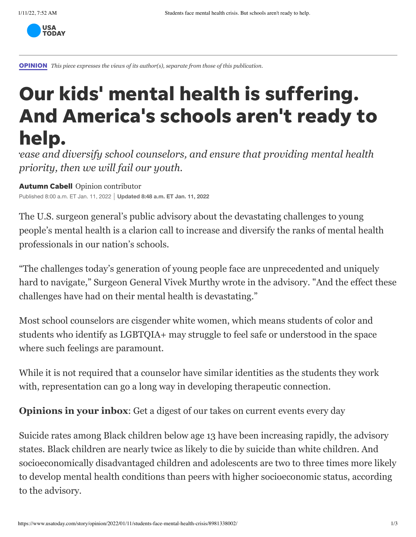

[OPINION](https://www.usatoday.com/opinion/) *This piece expresses the views of its author(s), separate from those of this publication.*

## Our kids' mental health is suffering. And America's schools aren't ready to help.

*rease and diversify school counselors, and ensure that providing mental health priority, then we will fail our youth.*

Autumn Cabell Opinion contributor Published 8:00 a.m. ET Jan. 11, 2022 **Updated 8:48 a.m. ET Jan. 11, 2022**

[The U.S.](https://www.usatoday.com/story/opinion/2021/11/05/covid-kids-mental-health-education-secretary-surgeon-general/6285131001/) [surgeon general's public advisory](https://www.hhs.gov/about/news/2021/12/07/us-surgeon-general-issues-advisory-on-youth-mental-health-crisis-further-exposed-by-covid-19-pandemic.html) [about the devastating challenges to young](https://www.usatoday.com/story/opinion/2021/11/05/covid-kids-mental-health-education-secretary-surgeon-general/6285131001/) people's mental health is a clarion call to increase and diversify the ranks of mental health professionals in our nation's schools.

"The challenges today's generation of young people face are unprecedented and uniquely hard to navigate," Surgeon General Vivek Murth[y wrote in the advisory.](https://www.hhs.gov/sites/default/files/surgeon-general-youth-mental-health-advisory.pdf) "And the effect these challenges have had [on their mental health is devastating](https://www.hhs.gov/sites/default/files/surgeon-general-youth-mental-health-advisory.pdf)."

Most [school counselors are cisgender white women](https://www.schoolcounselor.org/getmedia/9c1d81ab-2484-4615-9dd7-d788a241beaf/member-demographics.pdf), which means students of color and students who identify as LGBTQIA+ may struggle to feel safe or understood in the space where such feelings are paramount.

While it is not required that a counselor have similar identities as the students they work with, representation can go a long way in developing therapeutic connection.

**Opinions in your inbox:** [Get a digest of our takes on current events every day](https://t.co/b5Eu1GKNOY?amp=1)

Suicide rates among Black children below age 13 have been increasing rapidly, the advisory states. Black children are nearly twice as likely to die by suicide than white children. And [socioeconomically disadvantaged children and adolescents](https://www.training.nih.gov/new_nih_definition_of_socioeconomic_disadvantage) are two to three times more likely to develop mental health conditions than peers with higher socioeconomic status, according to the advisory.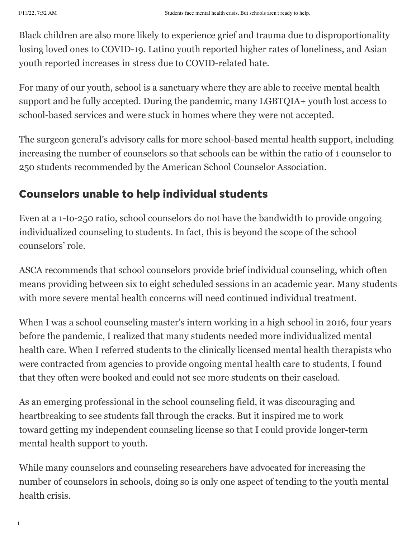Black children are also more likely to experience grief and trauma due to disproportionality losing loved ones to COVID-19. Latino youth reported higher rates of loneliness, and Asian youth reported increases in stress due to COVID-related hate.

For many of our youth, school is a sanctuary where they are able to receive mental health support and be fully accepted. During the pandemic, many LGBTQIA+ youth lost access to school-based services and were stuck in homes where they were not accepted.

The surgeon general's advisory calls for more school-based mental health support, including [increasing the number of counselors so that schools can be within the ratio of 1 counselor to](https://www.schoolcounselor.org/About-School-Counseling/School-Counselor-Roles-Ratios) 250 students recommended by the American School Counselor Association.

## Counselors unable to help individual students

Even at a 1-to-250 ratio, school counselors do not have the bandwidth to provide ongoing individualized counseling to students. In fact, this is beyond the scope of the school counselors' role.

ASCA recommends that school counselors provide brief individual counseling, which often means providing between six to eight scheduled sessions in an academic year. Many students with more severe mental health concerns will need continued individual treatment.

When I was a school counseling master's intern working in a high school in 2016, four years before the pandemic, I realized that many students needed more individualized mental health care. When I referred students to the clinically licensed mental health therapists who were contracted from agencies to provide ongoing mental health care to students, I found that they often were booked and could not see more students on their caseload.

As an emerging professional in the school counseling field, it was discouraging and heartbreaking to see students fall through the cracks. But it inspired me to work toward getting my independent counseling license so that I could provide longer-term mental health support to youth.

While many counselors and counseling researchers have advocated for increasing the number of counselors in schools, doing so is only one aspect of tending to the youth mental health crisis.